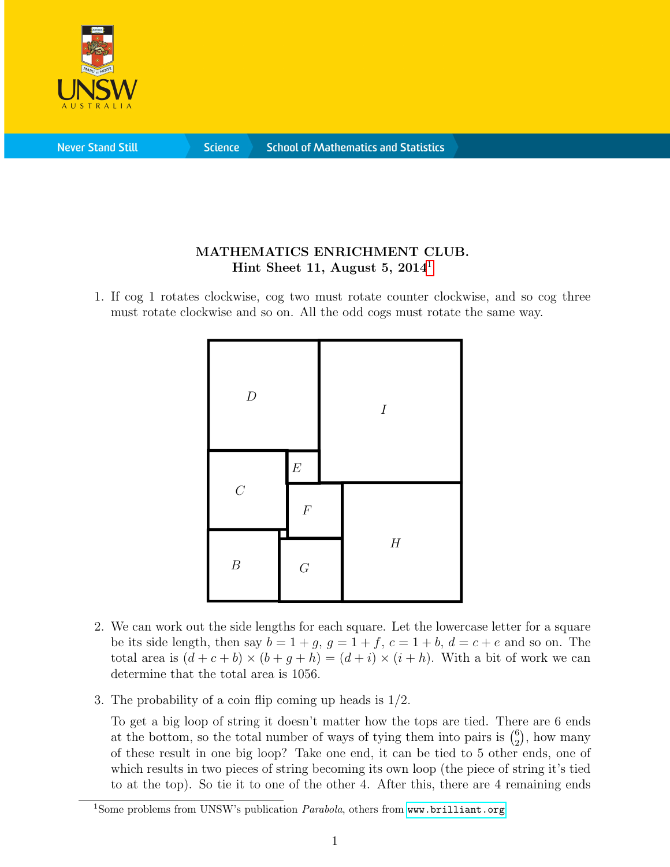

**Never Stand Still** 

**Science** 

## MATHEMATICS ENRICHMENT CLUB. Hint Sheet [1](#page-0-0)1, August 5,  $2014<sup>1</sup>$

1. If cog 1 rotates clockwise, cog two must rotate counter clockwise, and so cog three must rotate clockwise and so on. All the odd cogs must rotate the same way.



- 2. We can work out the side lengths for each square. Let the lowercase letter for a square be its side length, then say  $b = 1 + g$ ,  $g = 1 + f$ ,  $c = 1 + b$ ,  $d = c + e$  and so on. The total area is  $(d+c+b) \times (b+g+h) = (d+i) \times (i+h)$ . With a bit of work we can determine that the total area is 1056.
- 3. The probability of a coin flip coming up heads is 1/2.

To get a big loop of string it doesn't matter how the tops are tied. There are 6 ends at the bottom, so the total number of ways of tying them into pairs is  $\binom{6}{2}$  $_{2}^{6}$ ), how many of these result in one big loop? Take one end, it can be tied to 5 other ends, one of which results in two pieces of string becoming its own loop (the piece of string it's tied to at the top). So tie it to one of the other 4. After this, there are 4 remaining ends

<span id="page-0-0"></span><sup>&</sup>lt;sup>1</sup>Some problems from UNSW's publication  $\textit{Parabola}$ , others from <www.brilliant.org>